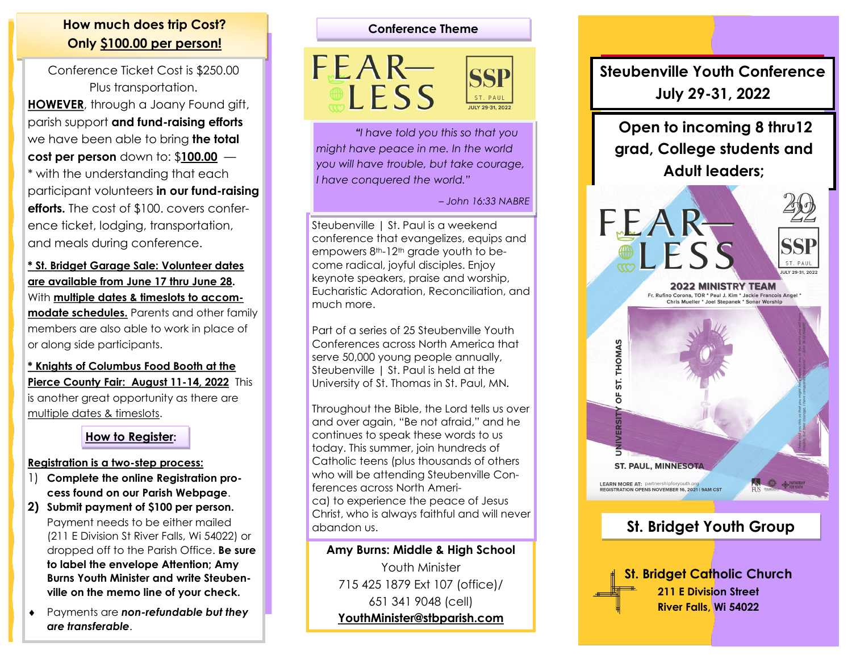# **How much does trip Cost? Conference Theme Only \$100.00 per person!**

Conference Ticket Cost is \$250.00 Plus transportation. **HOWEVER**, through a Joany Found gift, parish support **and fund-raising efforts**  we have been able to bring **the total cost per person** down to: \$**100.00** — \* with the understanding that each participant volunteers **in our fund-raising efforts.** The cost of \$100. covers conference ticket, lodging, transportation, and meals during conference.

**\* St. Bridget Garage Sale: Volunteer dates are available from June 17 thru June 28.**  With **multiple dates & timeslots to accommodate schedules.** Parents and other family members are also able to work in place of or along side participants.

**\* Knights of Columbus Food Booth at the Pierce County Fair: August 11-14, 2022** This is another great opportunity as there are multiple dates & timeslots.

### **How to Register:**

#### **Registration is a two-step process:**

- 1) **Complete the online Registration process found on our Parish Webpage**.
- **2) Submit payment of \$100 per person.**  Payment needs to be either mailed (211 E Division St River Falls, Wi 54022) or dropped off to the Parish Office. **Be sure to label the envelope Attention; Amy Burns Youth Minister and write Steubenville on the memo line of your check.**
- Payments are *non-refundable but they are transferable*.

 $EEAR-$ **LESS** 

*"I have told you this so that you might have peace in me. In the world you will have trouble, but take courage, I have conquered the world."* 

*– John 16:33 NABRE*

Steubenville | St. Paul is a weekend conference that evangelizes, equips and empowers 8<sup>th-12th</sup> grade youth to become radical, joyful disciples. Enjoy keynote speakers, praise and worship, Eucharistic Adoration, Reconciliation, and much more.

Part of a series of 25 Steubenville Youth Conferences across North America that serve 50,000 young people annually, Steubenville | St. Paul is held at the University of St. Thomas in St. Paul, MN.

Throughout the Bible, the Lord tells us over and over again, "Be not afraid," and he continues to speak these words to us today. This summer, join hundreds of Catholic teens (plus thousands of others who will be attending Steubenville Conferences across North America) to experience the peace of Jesus Christ, who is always faithful and will never abandon us.

**Amy Burns: Middle & High School**  Youth Minister 715 425 1879 Ext 107 (office)/ 651 341 9048 (cell) **[YouthMinister@stbparish.com](mailto:YouthMinister@stbparish.com)** 

# **Steubenville Youth Conference July 29-31, 2022**

**Open to incoming 8 thru12 grad, College students and Adult leaders;**



# **St. Bridget Youth Group**

**St. Bridget Catholic Church 211 E Division Street River Falls, Wi 54022**